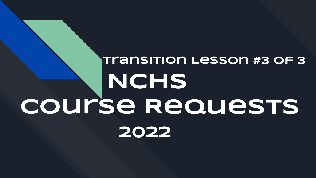### **Transition Lesson #3 of 3 NCHS Course Requests 2022**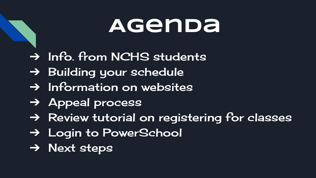#### **Agenda**

- ➔ Info. from NCHS students
- → Building your schedule
- ➔ Information on websites
- ➔ Appeal process
- ➔ Review tutorial on registering for classes
- → Login to PowerSchool
- ➔ Next steps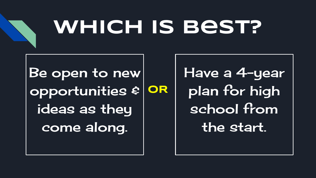

# **Which is best?**

Be open to new opportunities & ideas as they come along. **OR** Have a 4-year plan for high school from the start.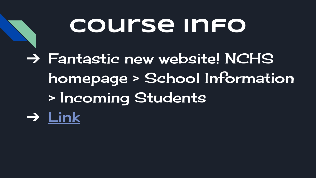## **Course info**

→ Fantastic new website! NCHS homepage > School Information > Incoming Students ➔ [Link](https://www.ncps-k12.org/Page/11)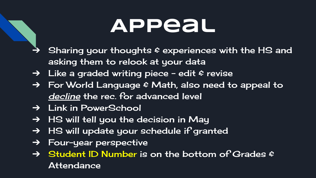#### **Appeal**

- Sharing your thoughts  $\varepsilon$  experiences with the HS and asking them to relook at your data
- → Like a graded writing piece edit & revise
- ➔ For World Language & Math, also need to appeal to decline the rec. for advanced level
- ➔ Link in PowerSchool
- $\rightarrow$  HS will tell you the decision in May
- → HS will update your schedule if granted
- → Four-year perspective
- $\rightarrow$  Student ID Number is on the bottom of Grades  $\epsilon$ Attendance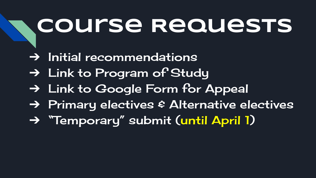## **Course Requests**

- $\rightarrow$  Initial recommendations
- ➔ Link to Program of Study
- ➔ Link to Google Form for Appeal
- ➔ Primary electives & Alternative electives
- ➔ "Temporary" submit (until April 1)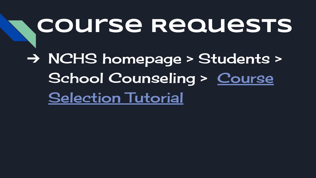# **Course Requests** ➔ NCHS homepage > Students > School Counseling > [Course](https://www.ncps-k12.org/Page/2838) **[Selection Tutorial](https://www.ncps-k12.org/Page/2838)**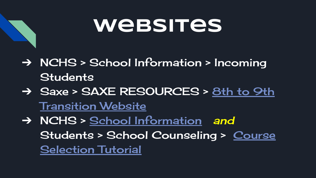#### **websites**

- ➔ NCHS > School Information > Incoming **Students**
- → Saxe > SAXE RESOURCES > [8th to 9th](https://www.ncps-k12.org/Domain/10) [Transition Website](https://www.ncps-k12.org/Domain/10)
- → NCHS > [School Information](https://www.ncps-k12.org/Domain/9) and Students > School Counseling > [Course](https://www.ncps-k12.org/Domain/9) [Selection Tutorial](https://www.ncps-k12.org/Domain/9)